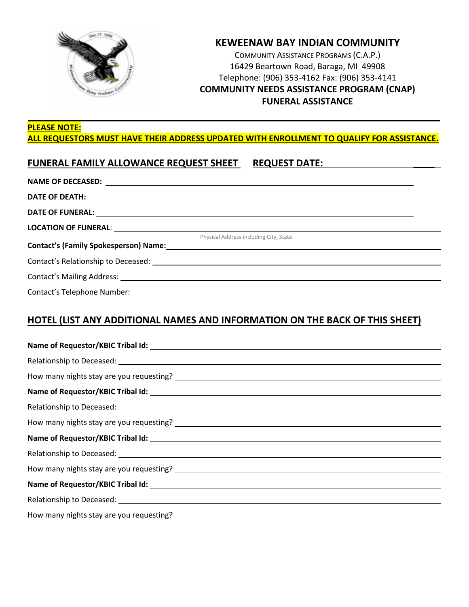

## **KEWEENAW BAY INDIAN COMMUNITY**

COMMUNITY ASSISTANCE PROGRAMS (C.A.P.) 16429 Beartown Road, Baraga, MI 49908 Telephone: (906) 353-4162 Fax: (906) 353-4141 **COMMUNITY NEEDS ASSISTANCE PROGRAM (CNAP) FUNERAL ASSISTANCE** 

#### **PLEASE NOTE: ALL REQUESTORS MUST HAVE THEIR ADDRESS UPDATED WITH ENROLLMENT TO QUALIFY FOR ASSISTANCE.**

#### **FUNERAL FAMILY ALLOWANCE REQUEST SHEET REQUEST DATE: \_\_\_\_\_**

|                                                                                 | Physical Address including City, State                                                                          |
|---------------------------------------------------------------------------------|-----------------------------------------------------------------------------------------------------------------|
|                                                                                 | Contact's (Family Spokesperson) Name: Manual Content Content Content Content Content Content Content Content Co |
|                                                                                 |                                                                                                                 |
| Contact's Mailing Address: Manual Contract of Manual Contact's Mailing Address: |                                                                                                                 |
|                                                                                 |                                                                                                                 |

#### **HOTEL (LIST ANY ADDITIONAL NAMES AND INFORMATION ON THE BACK OF THIS SHEET)**